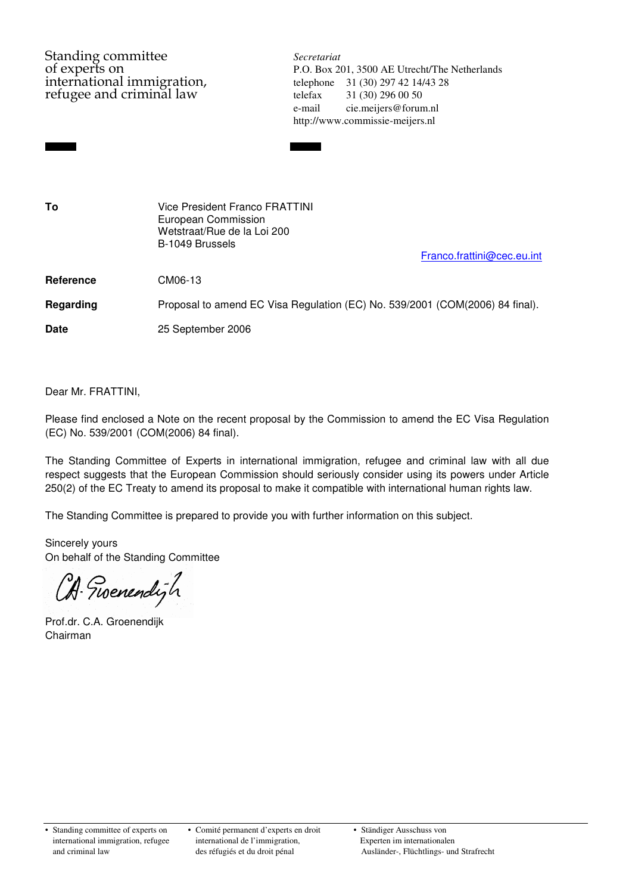Standing committee *Secretariat*<br>of experts on **P.O.** Box 20 refugee and criminal law telefax 31 (30) 296 00 50

of experts on P.O. Box 201, 3500 AE Utrecht/The Netherlands<br>international immigration, telephone 31 (30) 297 42 14/43 28 telephone 31 (30) 297 42 14/43 28 e-mail cie.meijers@forum.nl http://www.commissie-meijers.nl

| To          | <b>Vice President Franco FRATTINI</b><br>European Commission<br>Wetstraat/Rue de la Loi 200<br>B-1049 Brussels<br>Franco.frattini@cec.eu.int |
|-------------|----------------------------------------------------------------------------------------------------------------------------------------------|
| Reference   | CM06-13                                                                                                                                      |
| Regarding   | Proposal to amend EC Visa Regulation (EC) No. 539/2001 (COM(2006) 84 final).                                                                 |
| <b>Date</b> | 25 September 2006                                                                                                                            |
|             |                                                                                                                                              |

Dear Mr. FRATTINI,

Please find enclosed a Note on the recent proposal by the Commission to amend the EC Visa Regulation (EC) No. 539/2001 (COM(2006) 84 final).

The Standing Committee of Experts in international immigration, refugee and criminal law with all due respect suggests that the European Commission should seriously consider using its powers under Article 250(2) of the EC Treaty to amend its proposal to make it compatible with international human rights law.

The Standing Committee is prepared to provide you with further information on this subject.

Sincerely yours On behalf of the Standing Committee

CA Tioenendigh

Prof.dr. C.A. Groenendijk Chairman

• Standing committee of experts on • Comité permanent d'experts en droit • Ständiger Ausschuss von international immigration, refugee international de l'immigration, Experten im internationalen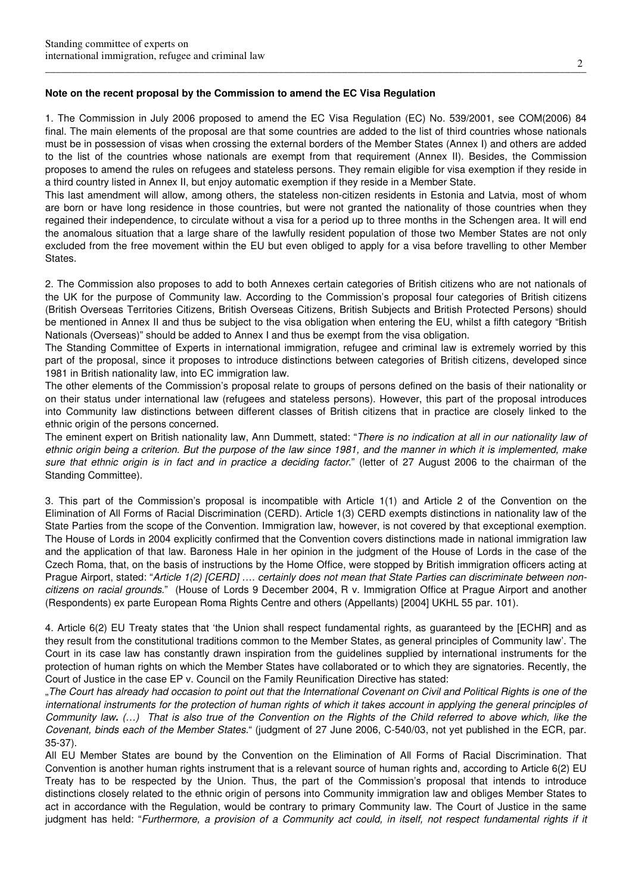## **Note on the recent proposal by the Commission to amend the EC Visa Regulation**

1. The Commission in July 2006 proposed to amend the EC Visa Regulation (EC) No. 539/2001, see COM(2006) 84 final. The main elements of the proposal are that some countries are added to the list of third countries whose nationals must be in possession of visas when crossing the external borders of the Member States (Annex I) and others are added to the list of the countries whose nationals are exempt from that requirement (Annex II). Besides, the Commission proposes to amend the rules on refugees and stateless persons. They remain eligible for visa exemption if they reside in a third country listed in Annex II, but enjoy automatic exemption if they reside in a Member State.

This last amendment will allow, among others, the stateless non-citizen residents in Estonia and Latvia, most of whom are born or have long residence in those countries, but were not granted the nationality of those countries when they regained their independence, to circulate without a visa for a period up to three months in the Schengen area. It will end the anomalous situation that a large share of the lawfully resident population of those two Member States are not only excluded from the free movement within the EU but even obliged to apply for a visa before travelling to other Member States.

2. The Commission also proposes to add to both Annexes certain categories of British citizens who are not nationals of the UK for the purpose of Community law. According to the Commission's proposal four categories of British citizens (British Overseas Territories Citizens, British Overseas Citizens, British Subjects and British Protected Persons) should be mentioned in Annex II and thus be subject to the visa obligation when entering the EU, whilst a fifth category "British Nationals (Overseas)" should be added to Annex I and thus be exempt from the visa obligation.

The Standing Committee of Experts in international immigration, refugee and criminal law is extremely worried by this part of the proposal, since it proposes to introduce distinctions between categories of British citizens, developed since 1981 in British nationality law, into EC immigration law.

The other elements of the Commission's proposal relate to groups of persons defined on the basis of their nationality or on their status under international law (refugees and stateless persons). However, this part of the proposal introduces into Community law distinctions between different classes of British citizens that in practice are closely linked to the ethnic origin of the persons concerned.

The eminent expert on British nationality law, Ann Dummett, stated: "There is no indication at all in our nationality law of ethnic origin being a criterion. But the purpose of the law since 1981, and the manner in which it is implemented, make sure that ethnic origin is in fact and in practice a deciding factor." (letter of 27 August 2006 to the chairman of the Standing Committee).

3. This part of the Commission's proposal is incompatible with Article 1(1) and Article 2 of the Convention on the Elimination of All Forms of Racial Discrimination (CERD). Article 1(3) CERD exempts distinctions in nationality law of the State Parties from the scope of the Convention. Immigration law, however, is not covered by that exceptional exemption. The House of Lords in 2004 explicitly confirmed that the Convention covers distinctions made in national immigration law and the application of that law. Baroness Hale in her opinion in the judgment of the House of Lords in the case of the Czech Roma, that, on the basis of instructions by the Home Office, were stopped by British immigration officers acting at Prague Airport, stated: "Article 1(2) [CERD] .... certainly does not mean that State Parties can discriminate between noncitizens on racial grounds." (House of Lords 9 December 2004, R v. Immigration Office at Prague Airport and another (Respondents) ex parte European Roma Rights Centre and others (Appellants) [2004] UKHL 55 par. 101).

4. Article 6(2) EU Treaty states that 'the Union shall respect fundamental rights, as guaranteed by the [ECHR] and as they result from the constitutional traditions common to the Member States, as general principles of Community law'. The Court in its case law has constantly drawn inspiration from the guidelines supplied by international instruments for the protection of human rights on which the Member States have collaborated or to which they are signatories. Recently, the Court of Justice in the case EP v. Council on the Family Reunification Directive has stated:

"The Court has already had occasion to point out that the International Covenant on Civil and Political Rights is one of the international instruments for the protection of human rights of which it takes account in applying the general principles of Community law**.** (…) That is also true of the Convention on the Rights of the Child referred to above which, like the Covenant, binds each of the Member States." (judgment of 27 June 2006, C-540/03, not yet published in the ECR, par. 35-37).

All EU Member States are bound by the Convention on the Elimination of All Forms of Racial Discrimination. That Convention is another human rights instrument that is a relevant source of human rights and, according to Article 6(2) EU Treaty has to be respected by the Union. Thus, the part of the Commission's proposal that intends to introduce distinctions closely related to the ethnic origin of persons into Community immigration law and obliges Member States to act in accordance with the Regulation, would be contrary to primary Community law. The Court of Justice in the same judgment has held: "Furthermore, a provision of a Community act could, in itself, not respect fundamental rights if it